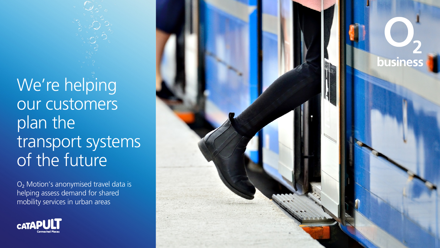We're helping our customers plan the transport systems of the future

O2 Motion's anonymised travel data is helping assess demand for shared mobility services in urban areas



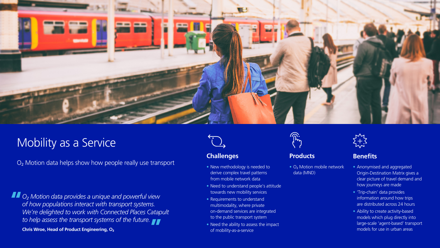

# Mobility as a Service

O<sub>2</sub> Motion data helps show how people really use transport

*O2 Motion data provides a unique and powerful view of how populations interact with transport systems. We're delighted to work with Connected Places Catapult to help assess the transport systems of the future.*

**Chris Wroe, Head of Product Engineering, O**<sup>2</sup>



### **Challenges Benefits Benefits**

- New methodology is needed to derive complex travel patterns from mobile network data
- Need to understand people's attitude towards new mobility services
- Requirements to understand multimodality, where private on-demand services are integrated to the public transport system
- Need the ability to assess the impact of mobility-as-a-service



#### **Products**

• O<sub>2</sub> Motion mobile network data (MND)



- Anonymised and aggregated Origin-Destination Matrix gives a clear picture of travel demand and how journeys are made
- 'Trip-chain' data provides information around how trips are distributed across 24 hours
- Ability to create activity-based models which plug directly into large-scale 'agent-based' transport models for use in urban areas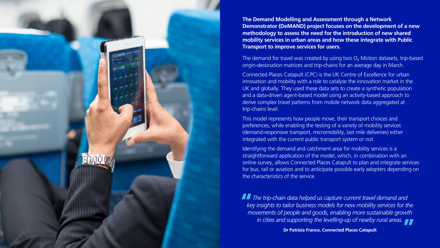**The Demand Modelling and Assessment through a Network Demonstrator (DeMAND) project focuses on the development of a new methodology to assess the need for the introduction of new shared mobility services in urban areas and how these integrate with Public Transport to improve services for users.**

The demand for travel was created by using two  $O<sub>2</sub>$  Motion datasets, trip-based origin-destination matrices and trip-chains for an average day in March.

Connected Places Catapult (CPC) is the UK Centre of Excellence for urban innovation and mobility with a role to catalyse the innovation market in the UK and globally. They used these data sets to create a synthetic population and a data-driven agent-based model using an activity-based approach to derive complex travel patterns from mobile network data aggregated at trip-chains level.

This model represents how people move, their transport choices and preferences, while enabling the testing of a variety of mobility services (demand-responsive transport, micromobility, last mile deliveries) either integrated with the current public transport system or not.

Identifying the demand and catchment area for mobility services is a straightforward application of the model, which, in combination with an online survey, allows Connected Places Catapult to plan and integrate services for bus, rail or aviation and to anticipate possible early adopters depending on the characteristics of the service.

*The trip-chain data helped us capture current travel demand and key insights to tailor business models for new mobility services for the movements of people and goods, enabling more sustainable growth in cities and supporting the levelling-up of nearby rural areas.*

**Dr Patrizia Franco, Connected Places Catapult**